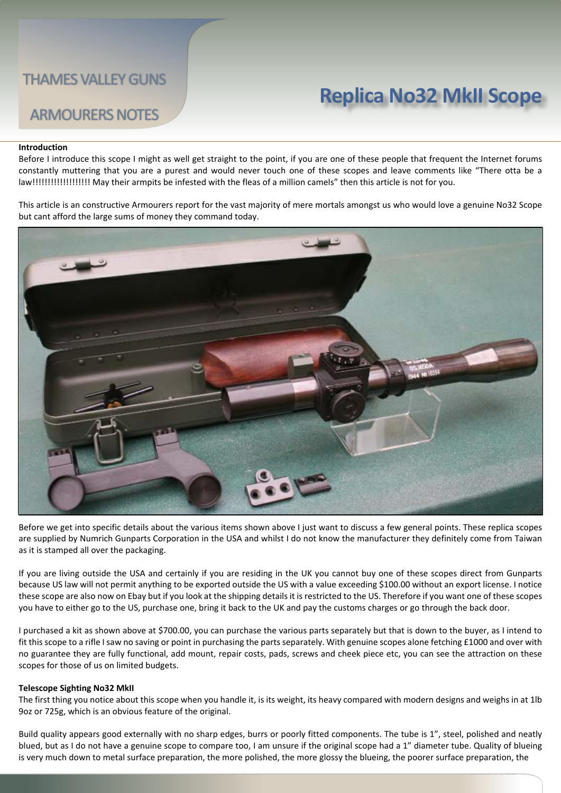# **Replica No32 MkII Scope**

## ARMOURERS NOTES

#### **Introduction**

Before I introduce this scope I might as well get straight to the point, if you are one of these people that frequent the Internet forums constantly muttering that you are a purest and would never touch one of these scopes and leave comments like "There otta be a law!!!!!!!!!!!!!!!!!!! May their armpits be infested with the fleas of a million camels" then this article is not for you.

This article is an constructive Armourers report for the vast majority of mere mortals amongst us who would love a genuine No32 Scope but cant afford the large sums of money they command today.



Before we get into specific details about the various items shown above I just want to discuss a few general points. These replica scopes are supplied by Numrich Gunparts Corporation in the USA and whilst I do not know the manufacturer they definitely come from Taiwan as it is stamped all over the packaging.

If you are living outside the USA and certainly if you are residing in the UK you cannot buy one of these scopes direct from Gunparts because US law will not permit anything to be exported outside the US with a value exceeding \$100.00 without an export license. I notice these scope are also now on Ebay but if you look at the shipping details it is restricted to the US. Therefore if you want one of these scopes you have to either go to the US, purchase one, bring it back to the UK and pay the customs charges or go through the back door.

I purchased a kit as shown above at \$700.00, you can purchase the various parts separately but that is down to the buyer, as I intend to fit this scope to a rifle I saw no saving or point in purchasing the parts separately. With genuine scopes alone fetching £1000 and over with no guarantee they are fully functional, add mount, repair costs, pads, screws and cheek piece etc, you can see the attraction on these scopes for those of us on limited budgets.

#### **Telescope Sighting No32 MkII**

The first thing you notice about this scope when you handle it, is its weight, its heavy compared with modern designs and weighs in at 1lb 9oz or 725g, which is an obvious feature of the original.

Build quality appears good externally with no sharp edges, burrs or poorly fitted components. The tube is 1", steel, polished and neatly blued, but as I do not have a genuine scope to compare too, I am unsure if the original scope had a 1" diameter tube. Quality of blueing is very much down to metal surface preparation, the more polished, the more glossy the blueing, the poorer surface preparation, the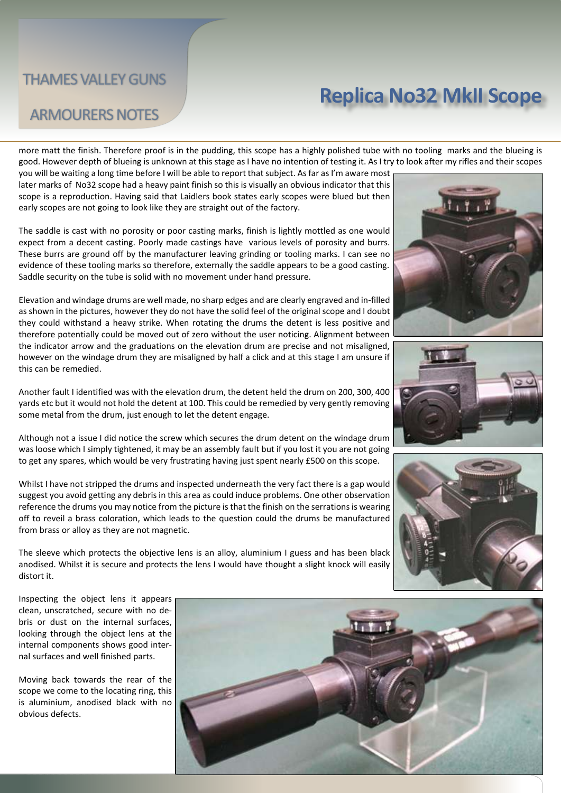## **Replica No32 MkII Scope**

## ARMOURERS NOTES

more matt the finish. Therefore proof is in the pudding, this scope has a highly polished tube with no tooling marks and the blueing is good. However depth of blueing is unknown at this stage as I have no intention of testing it. As I try to look after my rifles and their scopes

you will be waiting a long time before I will be able to report that subject. As far as I'm aware most later marks of No32 scope had a heavy paint finish so this is visually an obvious indicator that this scope is a reproduction. Having said that Laidlers book states early scopes were blued but then early scopes are not going to look like they are straight out of the factory.

The saddle is cast with no porosity or poor casting marks, finish is lightly mottled as one would expect from a decent casting. Poorly made castings have various levels of porosity and burrs. These burrs are ground off by the manufacturer leaving grinding or tooling marks. I can see no evidence of these tooling marks so therefore, externally the saddle appears to be a good casting. Saddle security on the tube is solid with no movement under hand pressure.

Elevation and windage drums are well made, no sharp edges and are clearly engraved and in-filled as shown in the pictures, however they do not have the solid feel of the original scope and I doubt they could withstand a heavy strike. When rotating the drums the detent is less positive and therefore potentially could be moved out of zero without the user noticing. Alignment between the indicator arrow and the graduations on the elevation drum are precise and not misaligned, however on the windage drum they are misaligned by half a click and at this stage I am unsure if this can be remedied.

Another fault I identified was with the elevation drum, the detent held the drum on 200, 300, 400 yards etc but it would not hold the detent at 100. This could be remedied by very gently removing some metal from the drum, just enough to let the detent engage.

Although not a issue I did notice the screw which secures the drum detent on the windage drum was loose which I simply tightened, it may be an assembly fault but if you lost it you are not going to get any spares, which would be very frustrating having just spent nearly £500 on this scope.

Whilst I have not stripped the drums and inspected underneath the very fact there is a gap would suggest you avoid getting any debris in this area as could induce problems. One other observation reference the drums you may notice from the picture is that the finish on the serrations is wearing off to reveil a brass coloration, which leads to the question could the drums be manufactured from brass or alloy as they are not magnetic.

The sleeve which protects the objective lens is an alloy, aluminium I guess and has been black anodised. Whilst it is secure and protects the lens I would have thought a slight knock will easily distort it.







Inspecting the object lens it appears clean, unscratched, secure with no debris or dust on the internal surfaces, looking through the object lens at the internal components shows good internal surfaces and well finished parts.

Moving back towards the rear of the scope we come to the locating ring, this is aluminium, anodised black with no obvious defects.

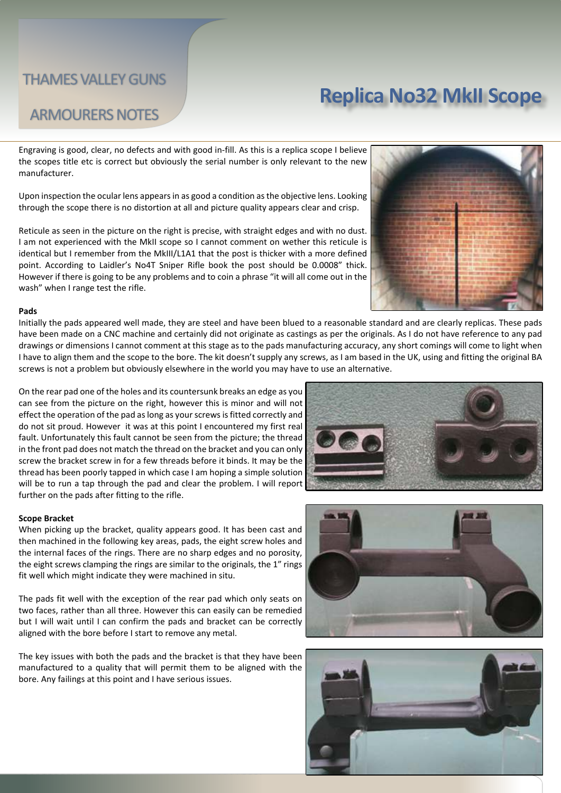ARMOURERS NOTES

## **Replica No32 MkII Scope**

### Engraving is good, clear, no defects and with good in-fill. As this is a replica scope I believe the scopes title etc is correct but obviously the serial number is only relevant to the new manufacturer.

Upon inspection the ocular lens appears in as good a condition as the objective lens. Looking through the scope there is no distortion at all and picture quality appears clear and crisp.

Reticule as seen in the picture on the right is precise, with straight edges and with no dust. I am not experienced with the MkII scope so I cannot comment on wether this reticule is identical but I remember from the MkIII/L1A1 that the post is thicker with a more defined point. According to Laidler's No4T Sniper Rifle book the post should be 0.0008" thick. However if there is going to be any problems and to coin a phrase "it will all come out in the wash" when I range test the rifle.



#### **Pads**

Initially the pads appeared well made, they are steel and have been blued to a reasonable standard and are clearly replicas. These pads have been made on a CNC machine and certainly did not originate as castings as per the originals. As I do not have reference to any pad drawings or dimensions I cannot comment at this stage as to the pads manufacturing accuracy, any short comings will come to light when I have to align them and the scope to the bore. The kit doesn't supply any screws, as I am based in the UK, using and fitting the original BA screws is not a problem but obviously elsewhere in the world you may have to use an alternative.

On the rear pad one of the holes and its countersunk breaks an edge as you can see from the picture on the right, however this is minor and will not effect the operation of the pad as long as your screws is fitted correctly and do not sit proud. However it was at this point I encountered my first real fault. Unfortunately this fault cannot be seen from the picture; the thread in the front pad does not match the thread on the bracket and you can only screw the bracket screw in for a few threads before it binds. It may be the thread has been poorly tapped in which case I am hoping a simple solution will be to run a tap through the pad and clear the problem. I will report further on the pads after fitting to the rifle.

#### **Scope Bracket**

When picking up the bracket, quality appears good. It has been cast and then machined in the following key areas, pads, the eight screw holes and the internal faces of the rings. There are no sharp edges and no porosity, the eight screws clamping the rings are similar to the originals, the 1" rings fit well which might indicate they were machined in situ.

The pads fit well with the exception of the rear pad which only seats on two faces, rather than all three. However this can easily can be remedied but I will wait until I can confirm the pads and bracket can be correctly aligned with the bore before I start to remove any metal.

The key issues with both the pads and the bracket is that they have been manufactured to a quality that will permit them to be aligned with the bore. Any failings at this point and I have serious issues.





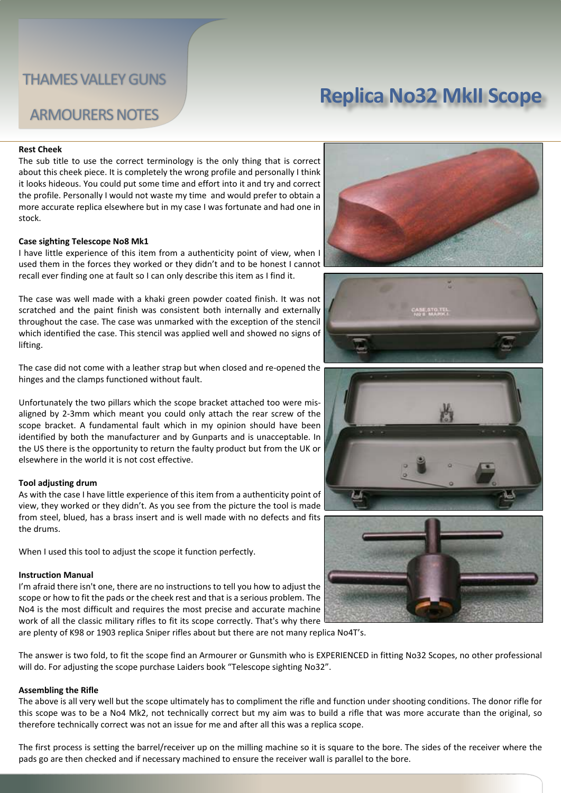## **Replica No32 MkII Scope**

### ARMOURERS NOTES

#### **Rest Cheek**

The sub title to use the correct terminology is the only thing that is correct about this cheek piece. It is completely the wrong profile and personally I think it looks hideous. You could put some time and effort into it and try and correct the profile. Personally I would not waste my time and would prefer to obtain a more accurate replica elsewhere but in my case I was fortunate and had one in stock.

#### **Case sighting Telescope No8 Mk1**

I have little experience of this item from a authenticity point of view, when I used them in the forces they worked or they didn't and to be honest I cannot recall ever finding one at fault so I can only describe this item as I find it.

The case was well made with a khaki green powder coated finish. It was not scratched and the paint finish was consistent both internally and externally throughout the case. The case was unmarked with the exception of the stencil which identified the case. This stencil was applied well and showed no signs of lifting.

The case did not come with a leather strap but when closed and re-opened the hinges and the clamps functioned without fault.

Unfortunately the two pillars which the scope bracket attached too were misaligned by 2-3mm which meant you could only attach the rear screw of the scope bracket. A fundamental fault which in my opinion should have been identified by both the manufacturer and by Gunparts and is unacceptable. In the US there is the opportunity to return the faulty product but from the UK or elsewhere in the world it is not cost effective.

#### **Tool adjusting drum**

As with the case I have little experience of this item from a authenticity point of view, they worked or they didn't. As you see from the picture the tool is made from steel, blued, has a brass insert and is well made with no defects and fits the drums.

When I used this tool to adjust the scope it function perfectly.

#### **Instruction Manual**

I'm afraid there isn't one, there are no instructions to tell you how to adjust the scope or how to fit the pads or the cheek rest and that is a serious problem. The No4 is the most difficult and requires the most precise and accurate machine work of all the classic military rifles to fit its scope correctly. That's why there are plenty of K98 or 1903 replica Sniper rifles about but there are not many replica No4T's.

The answer is two fold, to fit the scope find an Armourer or Gunsmith who is EXPERIENCED in fitting No32 Scopes, no other professional will do. For adjusting the scope purchase Laiders book "Telescope sighting No32".

#### **Assembling the Rifle**

The above is all very well but the scope ultimately has to compliment the rifle and function under shooting conditions. The donor rifle for this scope was to be a No4 Mk2, not technically correct but my aim was to build a rifle that was more accurate than the original, so therefore technically correct was not an issue for me and after all this was a replica scope.

The first process is setting the barrel/receiver up on the milling machine so it is square to the bore. The sides of the receiver where the pads go are then checked and if necessary machined to ensure the receiver wall is parallel to the bore.







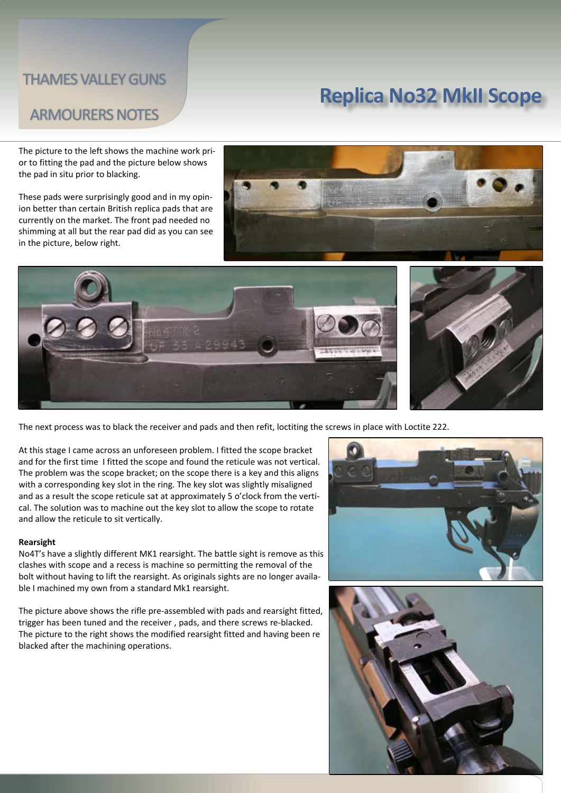## **Replica No32 MkII Scope**

### ARMOURERS NOTES

The picture to the left shows the machine work prior to fitting the pad and the picture below shows the pad in situ prior to blacking.

These pads were surprisingly good and in my opinion better than certain British replica pads that are currently on the market. The front pad needed no shimming at all but the rear pad did as you can see in the picture, below right.







The next process was to black the receiver and pads and then refit, loctiting the screws in place with Loctite 222.

At this stage I came across an unforeseen problem. I fitted the scope bracket and for the first time I fitted the scope and found the reticule was not vertical. The problem was the scope bracket; on the scope there is a key and this aligns with a corresponding key slot in the ring. The key slot was slightly misaligned and as a result the scope reticule sat at approximately 5 o'clock from the vertical. The solution was to machine out the key slot to allow the scope to rotate and allow the reticule to sit vertically.

#### **Rearsight**

No4T's have a slightly different MK1 rearsight. The battle sight is remove as this clashes with scope and a recess is machine so permitting the removal of the bolt without having to lift the rearsight. As originals sights are no longer available I machined my own from a standard Mk1 rearsight.

The picture above shows the rifle pre-assembled with pads and rearsight fitted, trigger has been tuned and the receiver , pads, and there screws re-blacked. The picture to the right shows the modified rearsight fitted and having been re blacked after the machining operations.



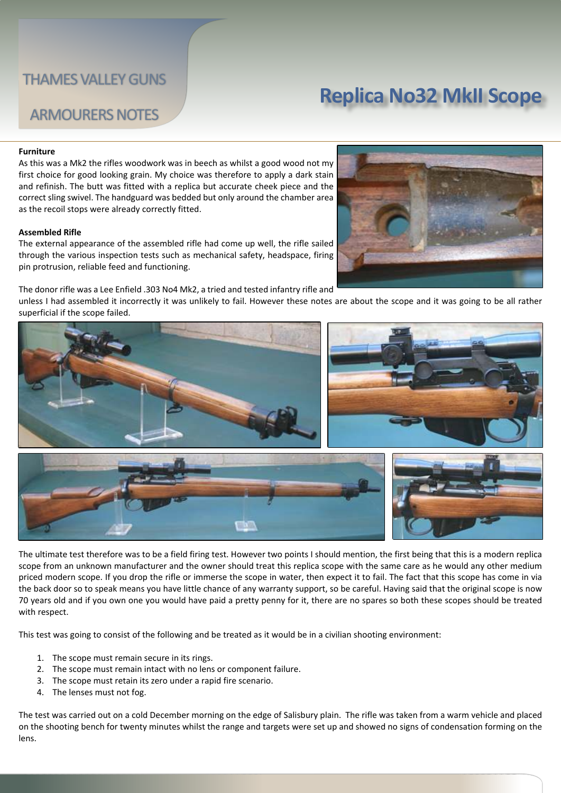## **Replica No32 MkII Scope**

### ARMOURERS NOTES

#### **Furniture**

As this was a Mk2 the rifles woodwork was in beech as whilst a good wood not my first choice for good looking grain. My choice was therefore to apply a dark stain and refinish. The butt was fitted with a replica but accurate cheek piece and the correct sling swivel. The handguard was bedded but only around the chamber area as the recoil stops were already correctly fitted.

#### **Assembled Rifle**

The external appearance of the assembled rifle had come up well, the rifle sailed through the various inspection tests such as mechanical safety, headspace, firing pin protrusion, reliable feed and functioning.

The donor rifle was a Lee Enfield .303 No4 Mk2, a tried and tested infantry rifle and

unless I had assembled it incorrectly it was unlikely to fail. However these notes are about the scope and it was going to be all rather superficial if the scope failed.



The ultimate test therefore was to be a field firing test. However two points I should mention, the first being that this is a modern replica scope from an unknown manufacturer and the owner should treat this replica scope with the same care as he would any other medium priced modern scope. If you drop the rifle or immerse the scope in water, then expect it to fail. The fact that this scope has come in via the back door so to speak means you have little chance of any warranty support, so be careful. Having said that the original scope is now 70 years old and if you own one you would have paid a pretty penny for it, there are no spares so both these scopes should be treated with respect.

This test was going to consist of the following and be treated as it would be in a civilian shooting environment:

- 1. The scope must remain secure in its rings.
- 2. The scope must remain intact with no lens or component failure.
- 3. The scope must retain its zero under a rapid fire scenario.
- 4. The lenses must not fog.

The test was carried out on a cold December morning on the edge of Salisbury plain. The rifle was taken from a warm vehicle and placed on the shooting bench for twenty minutes whilst the range and targets were set up and showed no signs of condensation forming on the lens.